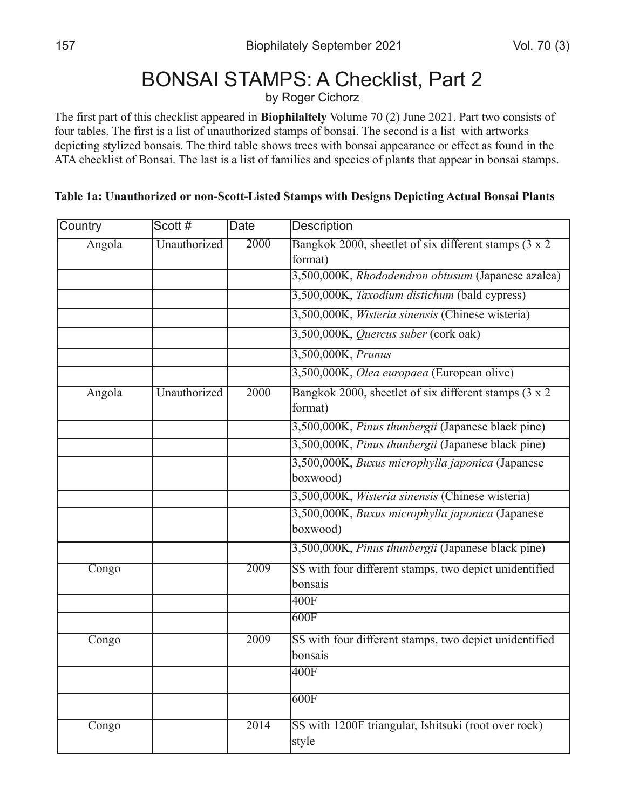# **BONSAI STAMPS: A Checklist, Part 2**

by Roger Cichorz

The first part of this checklist appeared in Biophilaltely Volume 70 (2) June 2021. Part two consists of four tables. The first is a list of unauthorized stamps of bonsai. The second is a list with artworks depicting stylized bonsais. The third table shows trees with bonsai appearance or effect as found in the ATA checklist of Bonsai. The last is a list of families and species of plants that appear in bonsai stamps.

### Table 1a: Unauthorized or non-Scott-Listed Stamps with Designs Depicting Actual Bonsai Plants

| Country | Scott#       | Date | <b>Description</b>                                                |  |
|---------|--------------|------|-------------------------------------------------------------------|--|
| Angola  | Unauthorized | 2000 | Bangkok 2000, sheetlet of six different stamps (3 x 2)<br>format) |  |
|         |              |      | 3,500,000K, Rhododendron obtusum (Japanese azalea)                |  |
|         |              |      | 3,500,000K, Taxodium distichum (bald cypress)                     |  |
|         |              |      | 3,500,000K, Wisteria sinensis (Chinese wisteria)                  |  |
|         |              |      | 3,500,000K, Quercus suber (cork oak)                              |  |
|         |              |      | 3,500,000K, Prunus                                                |  |
|         |              |      | 3,500,000K, Olea europaea (European olive)                        |  |
| Angola  | Unauthorized | 2000 | Bangkok 2000, sheetlet of six different stamps (3 x 2)<br>format) |  |
|         |              |      | 3,500,000K, Pinus thunbergii (Japanese black pine)                |  |
|         |              |      | 3,500,000K, Pinus thunbergii (Japanese black pine)                |  |
|         |              |      | 3,500,000K, Buxus microphylla japonica (Japanese<br>boxwood)      |  |
|         |              |      | 3,500,000K, <i>Wisteria sinensis</i> (Chinese wisteria)           |  |
|         |              |      | 3,500,000K, Buxus microphylla japonica (Japanese<br>boxwood)      |  |
|         |              |      | 3,500,000K, Pinus thunbergii (Japanese black pine)                |  |
| Congo   |              | 2009 | SS with four different stamps, two depict unidentified<br>bonsais |  |
|         |              |      | 400F                                                              |  |
|         |              |      | 600F                                                              |  |
| Congo   |              | 2009 | SS with four different stamps, two depict unidentified<br>bonsais |  |
|         |              |      | 400F                                                              |  |
|         |              |      | 600F                                                              |  |
| Congo   |              | 2014 | SS with 1200F triangular, Ishitsuki (root over rock)<br>style     |  |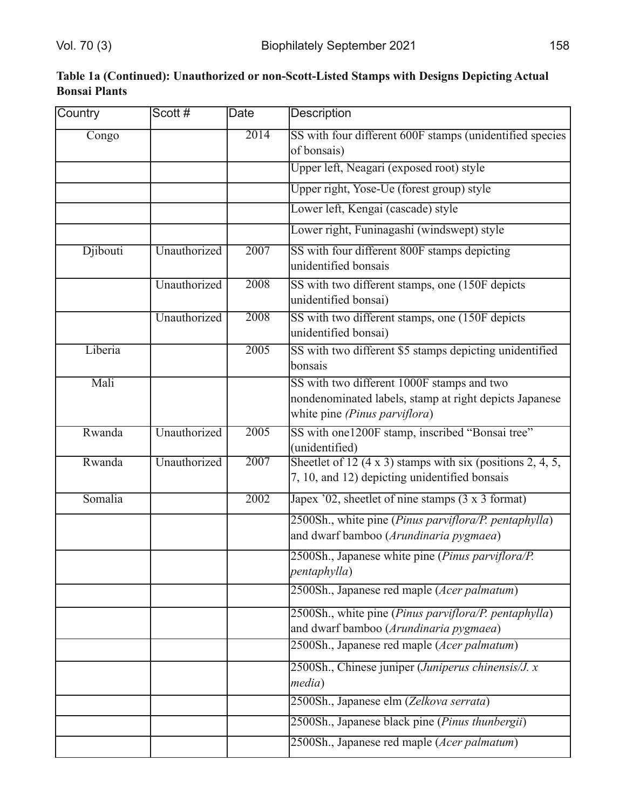| Table 1a (Continued): Unauthorized or non-Scott-Listed Stamps with Designs Depicting Actual |  |
|---------------------------------------------------------------------------------------------|--|
| <b>Bonsai Plants</b>                                                                        |  |

| Country  | Scott#       | <b>Date</b>       | <b>Description</b>                                                                                                                    |  |
|----------|--------------|-------------------|---------------------------------------------------------------------------------------------------------------------------------------|--|
| Congo    |              | 2014              | SS with four different 600F stamps (unidentified species<br>of bonsais)                                                               |  |
|          |              |                   | Upper left, Neagari (exposed root) style                                                                                              |  |
|          |              |                   | Upper right, Yose-Ue (forest group) style                                                                                             |  |
|          |              |                   | Lower left, Kengai (cascade) style                                                                                                    |  |
|          |              |                   | Lower right, Funinagashi (windswept) style                                                                                            |  |
| Djibouti | Unauthorized | 2007              | SS with four different 800F stamps depicting<br>lunidentified bonsais                                                                 |  |
|          | Unauthorized | 2008              | SS with two different stamps, one (150F depicts)<br>unidentified bonsai)                                                              |  |
|          | Unauthorized | 2008              | SS with two different stamps, one (150F depicts)<br>unidentified bonsai)                                                              |  |
| Liberia  |              | 2005              | SS with two different \$5 stamps depicting unidentified<br>bonsais                                                                    |  |
| Mali     |              |                   | SS with two different 1000F stamps and two<br>nondenominated labels, stamp at right depicts Japanese<br>white pine (Pinus parviflora) |  |
| Rwanda   | Unauthorized | 2005              | SS with one1200F stamp, inscribed "Bonsai tree"<br>(unidentified)                                                                     |  |
| Rwanda   | Unauthorized | 2007              | Sheetlet of 12 $(4 \times 3)$ stamps with six (positions 2, 4, 5,<br>7, 10, and 12) depicting unidentified bonsais                    |  |
| Somalia  |              | $\overline{2002}$ | Japex '02, sheetlet of nine stamps (3 x 3 format)                                                                                     |  |
|          |              |                   | 2500Sh., white pine (Pinus parviflora/P. pentaphylla)<br>and dwarf bamboo (Arundinaria pygmaea)                                       |  |
|          |              |                   | 2500Sh., Japanese white pine (Pinus parviflora/P.<br>pentaphylla)                                                                     |  |
|          |              |                   | 2500Sh., Japanese red maple (Acer palmatum)                                                                                           |  |
|          |              |                   | 2500Sh., white pine (Pinus parviflora/P. pentaphylla)<br>and dwarf bamboo (Arundinaria pygmaea)                                       |  |
|          |              |                   | 2500Sh., Japanese red maple (Acer palmatum)                                                                                           |  |
|          |              |                   | 2500Sh., Chinese juniper (Juniperus chinensis/J. x<br><i>media</i> )                                                                  |  |
|          |              |                   | 2500Sh., Japanese elm (Zelkova serrata)                                                                                               |  |
|          |              |                   | 2500Sh., Japanese black pine (Pinus thunbergii)                                                                                       |  |
|          |              |                   | 2500Sh., Japanese red maple (Acer palmatum)                                                                                           |  |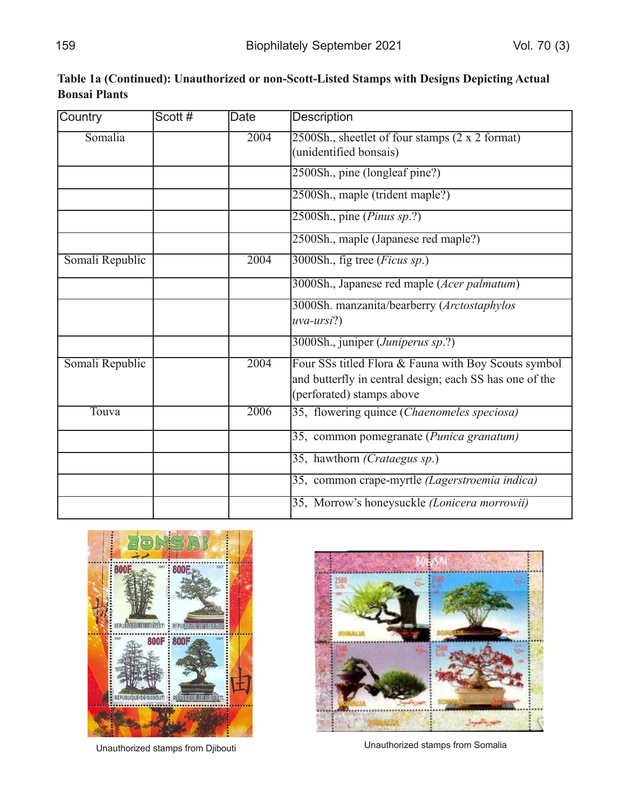| Country         | Scott# | Date | <b>Description</b>                                                                                                                           |
|-----------------|--------|------|----------------------------------------------------------------------------------------------------------------------------------------------|
| Somalia         |        | 2004 | 2500Sh., sheetlet of four stamps (2 x 2 format)<br>(unidentified bonsais)                                                                    |
|                 |        |      | 2500Sh., pine (longleaf pine?)                                                                                                               |
|                 |        |      | 2500Sh., maple (trident maple?)                                                                                                              |
|                 |        |      | $2500Sh.,$ pine ( <i>Pinus sp.</i> ?)                                                                                                        |
|                 |        |      | 2500Sh., maple (Japanese red maple?)                                                                                                         |
| Somali Republic |        | 2004 | $\overline{3000Sh}$ , fig tree ( <i>Ficus sp.</i> )                                                                                          |
|                 |        |      | 3000Sh., Japanese red maple (Acer palmatum)                                                                                                  |
|                 |        |      | 3000Sh. manzanita/bearberry (Arctostaphylos<br>$uva-ursi?$                                                                                   |
|                 |        |      | 3000Sh., juniper ( <i>Juniperus sp.</i> ?)                                                                                                   |
| Somali Republic |        | 2004 | Four SSs titled Flora & Fauna with Boy Scouts symbol<br>and butterfly in central design; each SS has one of the<br>(perforated) stamps above |
| Touva           |        | 2006 | 35, flowering quince (Chaenomeles speciosa)                                                                                                  |
|                 |        |      | 35, common pomegranate (Punica granatum)                                                                                                     |
|                 |        |      | 35, hawthorn (Crataegus sp.)                                                                                                                 |
|                 |        |      | 35, common crape-myrtle (Lagerstroemia indica)                                                                                               |
|                 |        |      | 35, Morrow's honeysuckle (Lonicera morrowii)                                                                                                 |

Table 1a (Continued): Unauthorized or non-Scott-Listed Stamps with Designs Depicting Actual **Bonsai Plants** 





Unauthorized stamps from Djibouti **Effect CFADICE CFADE CERACTE CERACTE CON** Diam Unauthorized stamps from Somalia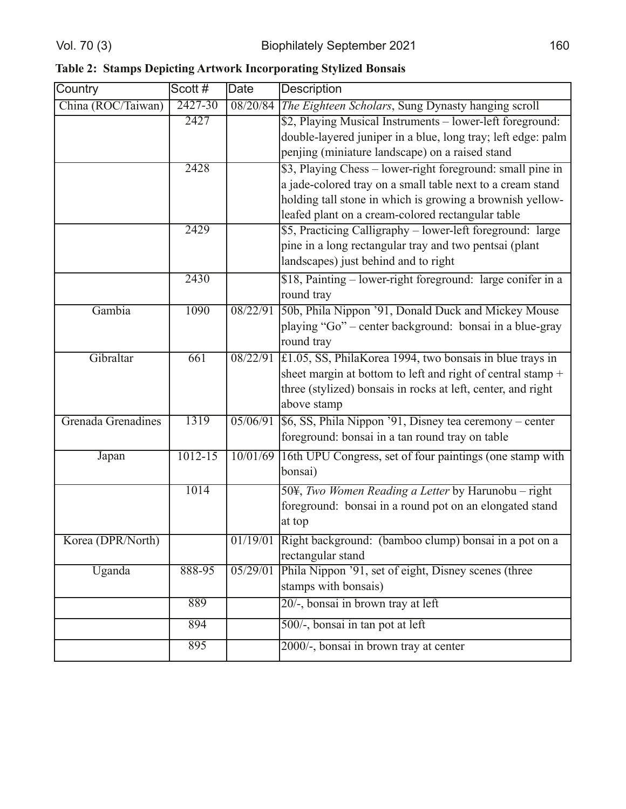## Table 2: Stamps Depicting Artwork Incorporating Stylized Bonsais

| Country            | Scott#      | Date     | <b>Description</b>                                           |  |
|--------------------|-------------|----------|--------------------------------------------------------------|--|
| China (ROC/Taiwan) | 2427-30     | 08/20/84 | The Eighteen Scholars, Sung Dynasty hanging scroll           |  |
|                    | 2427        |          | \$2, Playing Musical Instruments - lower-left foreground:    |  |
|                    |             |          | double-layered juniper in a blue, long tray; left edge: palm |  |
|                    |             |          | penjing (miniature landscape) on a raised stand              |  |
|                    | 2428        |          | \$3, Playing Chess - lower-right foreground: small pine in   |  |
|                    |             |          | a jade-colored tray on a small table next to a cream stand   |  |
|                    |             |          | holding tall stone in which is growing a brownish yellow-    |  |
|                    |             |          | leafed plant on a cream-colored rectangular table            |  |
|                    | 2429        |          | \$5, Practicing Calligraphy - lower-left foreground: large   |  |
|                    |             |          | pine in a long rectangular tray and two pentsai (plant       |  |
|                    |             |          | landscapes) just behind and to right                         |  |
|                    | 2430        |          | \$18, Painting - lower-right foreground: large conifer in a  |  |
|                    |             |          | round tray                                                   |  |
| Gambia             | 1090        | 08/22/91 | 50b, Phila Nippon '91, Donald Duck and Mickey Mouse          |  |
|                    |             |          | playing "Go" – center background: bonsai in a blue-gray      |  |
|                    |             |          | round tray                                                   |  |
| Gibraltar          | 661         | 08/22/91 | £1.05, SS, PhilaKorea 1994, two bonsais in blue trays in     |  |
|                    |             |          | sheet margin at bottom to left and right of central stamp +  |  |
|                    |             |          | three (stylized) bonsais in rocks at left, center, and right |  |
|                    |             |          | above stamp                                                  |  |
| Grenada Grenadines | 1319        | 05/06/91 | \$6, SS, Phila Nippon '91, Disney tea ceremony – center      |  |
|                    |             |          | foreground: bonsai in a tan round tray on table              |  |
| Japan              | $1012 - 15$ | 10/01/69 | 16th UPU Congress, set of four paintings (one stamp with     |  |
|                    |             |          | bonsai)                                                      |  |
|                    | 1014        |          | 50¥, Two Women Reading a Letter by Harunobu - right          |  |
|                    |             |          | foreground: bonsai in a round pot on an elongated stand      |  |
|                    |             |          | at top                                                       |  |
| Korea (DPR/North)  |             | 01/19/01 | Right background: (bamboo clump) bonsai in a pot on a        |  |
|                    |             |          | rectangular stand                                            |  |
| Uganda             | 888-95      | 05/29/01 | Phila Nippon '91, set of eight, Disney scenes (three         |  |
|                    |             |          | stamps with bonsais)                                         |  |
|                    | 889         |          | 20/-, bonsai in brown tray at left                           |  |
|                    | 894         |          | 500/-, bonsai in tan pot at left                             |  |
|                    | 895         |          | 2000/-, bonsai in brown tray at center                       |  |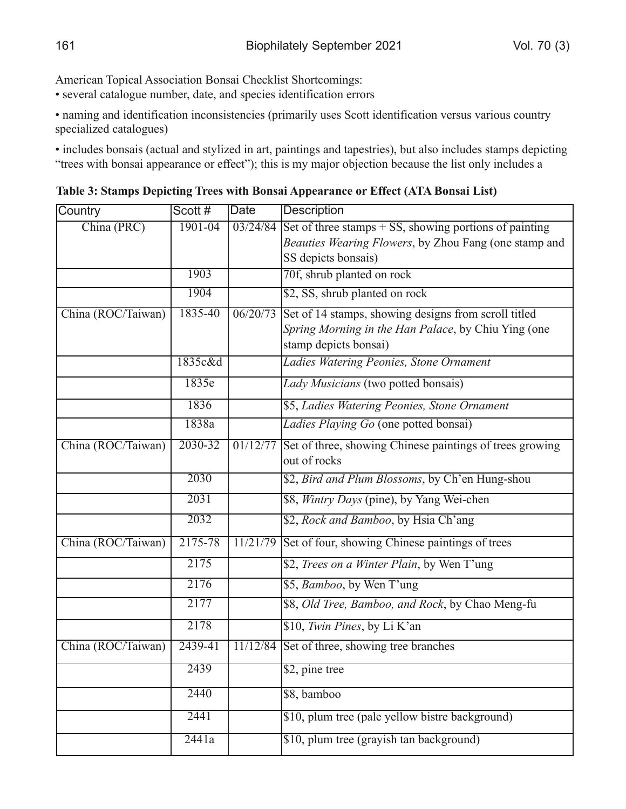American Topical Association Bonsai Checklist Shortcomings:

• several catalogue number, date, and species identification errors

• naming and identification inconsistencies (primarily uses Scott identification versus various country specialized catalogues)

• includes bonsais (actual and stylized in art, paintings and tapestries), but also includes stamps depicting "trees with bonsai appearance or effect"); this is my major objection because the list only includes a

**Table 3: Stamps Depicting Trees with Bonsai Appearance or Effect (ATA Bonsai List)** 

| Country            | Scott#  | Date     | <b>Description</b>                                                                                                                     |  |
|--------------------|---------|----------|----------------------------------------------------------------------------------------------------------------------------------------|--|
| China (PRC)        | 1901-04 | 03/24/84 | Set of three stamps + SS, showing portions of painting<br>Beauties Wearing Flowers, by Zhou Fang (one stamp and<br>SS depicts bonsais) |  |
|                    | 1903    |          | 70f, shrub planted on rock                                                                                                             |  |
|                    | 1904    |          | \$2, SS, shrub planted on rock                                                                                                         |  |
| China (ROC/Taiwan) | 1835-40 | 06/20/73 | Set of 14 stamps, showing designs from scroll titled<br>Spring Morning in the Han Palace, by Chiu Ying (one<br>stamp depicts bonsai)   |  |
|                    | 1835c&d |          | Ladies Watering Peonies, Stone Ornament                                                                                                |  |
|                    | 1835e   |          | Lady Musicians (two potted bonsais)                                                                                                    |  |
|                    | 1836    |          | \$5, Ladies Watering Peonies, Stone Ornament                                                                                           |  |
|                    | 1838a   |          | Ladies Playing Go (one potted bonsai)                                                                                                  |  |
| China (ROC/Taiwan) | 2030-32 | 01/12/77 | Set of three, showing Chinese paintings of trees growing<br>out of rocks                                                               |  |
|                    | 2030    |          | \$2, Bird and Plum Blossoms, by Ch'en Hung-shou                                                                                        |  |
|                    | 2031    |          | \$8, Wintry Days (pine), by Yang Wei-chen                                                                                              |  |
|                    | 2032    |          | \$2, Rock and Bamboo, by Hsia Ch'ang                                                                                                   |  |
| China (ROC/Taiwan) | 2175-78 | 11/21/79 | Set of four, showing Chinese paintings of trees                                                                                        |  |
|                    | 2175    |          | \$2, Trees on a Winter Plain, by Wen T'ung                                                                                             |  |
|                    | 2176    |          | \$5, Bamboo, by Wen T'ung                                                                                                              |  |
|                    | 2177    |          | \$8, Old Tree, Bamboo, and Rock, by Chao Meng-fu                                                                                       |  |
|                    | 2178    |          | \$10, Twin Pines, by Li K'an                                                                                                           |  |
| China (ROC/Taiwan) | 2439-41 | 11/12/84 | Set of three, showing tree branches                                                                                                    |  |
|                    | 2439    |          | \$2, pine tree                                                                                                                         |  |
|                    | 2440    |          | \$8, bamboo                                                                                                                            |  |
|                    | 2441    |          | \$10, plum tree (pale yellow bistre background)                                                                                        |  |
|                    | 2441a   |          | \$10, plum tree (grayish tan background)                                                                                               |  |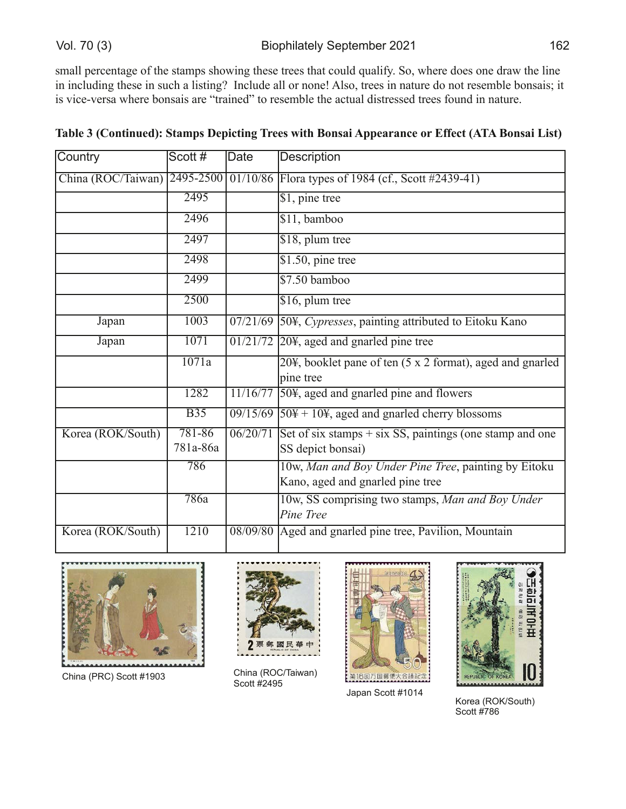small percentage of the stamps showing these trees that could qualify. So, where does one draw the line in including these in such a listing? Include all or none! Also, trees in nature do not resemble bonsais; it is vice-versa where bonsais are "trained" to resemble the actual distressed trees found in nature.

| Country            | Scott #            | Date     | Description                                                 |  |
|--------------------|--------------------|----------|-------------------------------------------------------------|--|
| China (ROC/Taiwan) | 2495-2500          |          | 01/10/86 Flora types of 1984 (cf., Scott #2439-41)          |  |
|                    | 2495               |          | \$1, pine tree                                              |  |
|                    | 2496               |          | \$11, bamboo                                                |  |
|                    | 2497               |          | \$18, plum tree                                             |  |
|                    | 2498               |          | $$1.50$ , pine tree                                         |  |
|                    | 2499               |          | \$7.50 bamboo                                               |  |
|                    | 2500               |          | \$16, plum tree                                             |  |
| Japan              | 1003               |          | 07/21/69 50¥, Cypresses, painting attributed to Eitoku Kano |  |
| Japan              | 1071               | 01/21/72 | 20¥, aged and gnarled pine tree                             |  |
|                    | $\overline{1071a}$ |          | 20¥, booklet pane of ten (5 x 2 format), aged and gnarled   |  |
|                    |                    |          | pine tree                                                   |  |
|                    | 1282               | 11/16/77 | 50¥, aged and gnarled pine and flowers                      |  |
|                    | $\overline{B35}$   |          | $09/15/69$ $504 + 104$ , aged and gnarled cherry blossoms   |  |
| Korea (ROK/South)  | 781-86             | 06/20/71 | Set of six stamps + six SS, paintings (one stamp and one    |  |
|                    | 781a-86a           |          | SS depict bonsai)                                           |  |
|                    | 786                |          | 10w, Man and Boy Under Pine Tree, painting by Eitoku        |  |
|                    |                    |          | Kano, aged and gnarled pine tree                            |  |
|                    | 786a               |          | 10w, SS comprising two stamps, Man and Boy Under            |  |
|                    |                    |          | Pine Tree                                                   |  |
| Korea (ROK/South)  | 1210               |          | 08/09/80 Aged and gnarled pine tree, Pavilion, Mountain     |  |

#### Table 3 (Continued): Stamps Depicting Trees with Bonsai Appearance or Effect (ATA Bonsai List)



China (PRC) Scott #1903



China (ROC/Taiwan) Scott #2495



Japan Scott #1014



Korea (ROK/South) Scott #786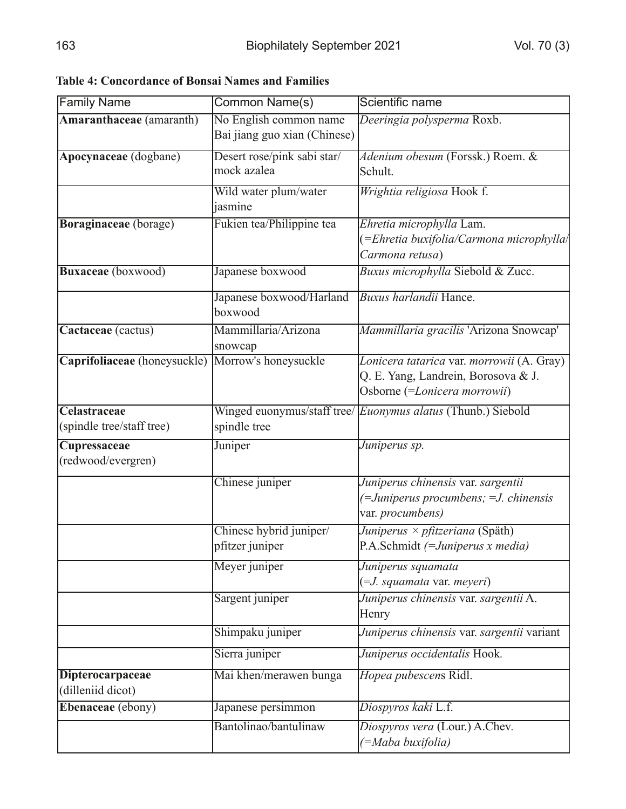| Family Name                               | Common Name(s)                                         | Scientific name                                                                                                  |
|-------------------------------------------|--------------------------------------------------------|------------------------------------------------------------------------------------------------------------------|
| <b>Amaranthaceae</b> (amaranth)           | No English common name<br>Bai jiang guo xian (Chinese) | Deeringia polysperma Roxb.                                                                                       |
| Apocynaceae (dogbane)                     | Desert rose/pink sabi star/<br>mock azalea             | Adenium obesum (Forssk.) Roem. &<br>Schult.                                                                      |
|                                           | Wild water plum/water<br>jasmine                       | Wrightia religiosa Hook f.                                                                                       |
| Boraginaceae (borage)                     | Fukien tea/Philippine tea                              | Ehretia microphylla Lam.<br>(=Ehretia buxifolia/Carmona microphylla/<br>Carmona retusa)                          |
| <b>Buxaceae</b> (boxwood)                 | Japanese boxwood                                       | Buxus microphylla Siebold & Zucc.                                                                                |
|                                           | Japanese boxwood/Harland<br>boxwood                    | Buxus harlandii Hance.                                                                                           |
| Cactaceae (cactus)                        | Mammillaria/Arizona<br>snowcap                         | Mammillaria gracilis 'Arizona Snowcap'                                                                           |
| Caprifoliaceae (honeysuckle)              | Morrow's honeysuckle                                   | Lonicera tatarica var. morrowii (A. Gray)<br>Q. E. Yang, Landrein, Borosova & J.<br>Osborne (=Lonicera morrowii) |
| Celastraceae<br>(spindle tree/staff tree) | spindle tree                                           | Winged euonymus/staff tree/ Euonymus alatus (Thunb.) Siebold                                                     |
| Cupressaceae<br>(redwood/evergren)        | Juniper                                                | Juniperus sp.                                                                                                    |
|                                           | Chinese juniper                                        | Juniperus chinensis var. sargentii<br>(=Juniperus procumbens; = J. chinensis<br>var. procumbens)                 |
|                                           | Chinese hybrid juniper/                                | Juniperus $\times$ pfitzeriana (Späth)                                                                           |
|                                           | pfitzer juniper                                        | P.A.Schmidt (= Juniperus x media)                                                                                |
|                                           | Meyer juniper                                          | Juniperus squamata<br>(= J. squamata var. meyeri)                                                                |
|                                           | Sargent juniper                                        | Juniperus chinensis var. sargentii A.<br>Henry                                                                   |
|                                           | Shimpaku juniper                                       | Juniperus chinensis var. sargentii variant                                                                       |
|                                           | Sierra juniper                                         | Juniperus occidentalis Hook.                                                                                     |
| Dipterocarpaceae<br>(dilleniid dicot)     | Mai khen/merawen bunga                                 | Hopea pubescens Ridl.                                                                                            |
| Ebenaceae (ebony)                         | Japanese persimmon                                     | Diospyros kaki L.f.                                                                                              |
|                                           | Bantolinao/bantulinaw                                  | Diospyros vera (Lour.) A.Chev.<br>(=Maba buxifolia)                                                              |

Table 4: Concordance of Bonsai Names and Families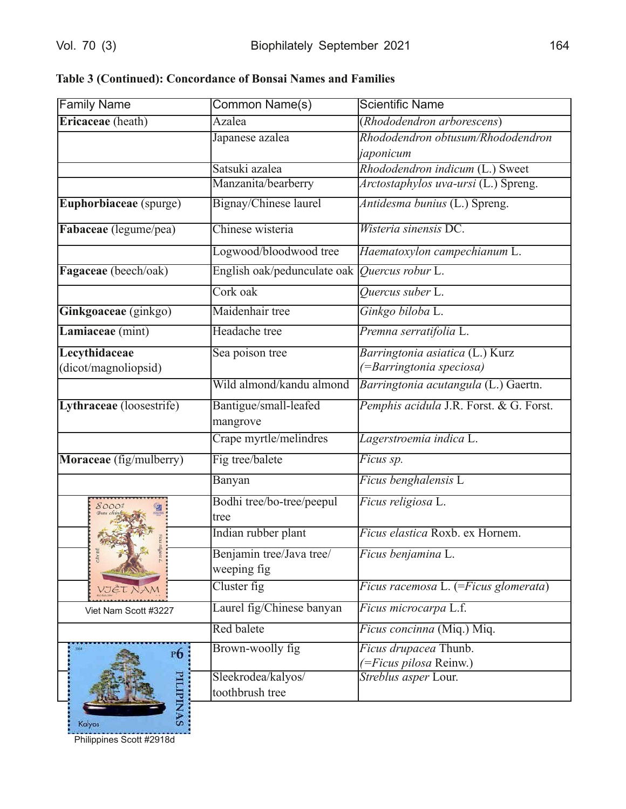| <b>Family Name</b>       | Common Name(s)                               | <b>Scientific Name</b>                           |
|--------------------------|----------------------------------------------|--------------------------------------------------|
| Ericaceae (heath)        | <b>Azalea</b>                                | (Rhododendron arborescens)                       |
|                          | Japanese azalea                              | Rhododendron obtusum/Rhododendron                |
|                          |                                              | japonicum                                        |
|                          | Satsuki azalea                               | Rhododendron indicum (L.) Sweet                  |
|                          | Manzanita/bearberry                          | Arctostaphylos uva-ursi (L.) Spreng.             |
| Euphorbiaceae (spurge)   | Bignay/Chinese laurel                        | Antidesma bunius (L.) Spreng.                    |
| Fabaceae (legume/pea)    | Chinese wisteria                             | Wisteria sinensis DC.                            |
|                          | Logwood/bloodwood tree                       | Haematoxylon campechianum L.                     |
| Fagaceae (beech/oak)     | English oak/pedunculate oak Quercus robur L. |                                                  |
|                          | Cork oak                                     | Quercus suber L.                                 |
| Ginkgoaceae (ginkgo)     | Maidenhair tree                              | Ginkgo biloba L.                                 |
| Lamiaceae (mint)         | Headache tree                                | Premna serratifolia L.                           |
| Lecythidaceae            | Sea poison tree                              | Barringtonia asiatica (L.) Kurz                  |
| (dicot/magnoliopsid)     |                                              | (=Barringtonia speciosa)                         |
|                          | Wild almond/kandu almond                     | Barringtonia acutangula (L.) Gaertn.             |
| Lythraceae (loosestrife) | Bantigue/small-leafed<br>mangrove            | Pemphis acidula J.R. Forst. & G. Forst.          |
|                          | Crape myrtle/melindres                       | Lagerstroemia indica L.                          |
| Moraceae (fig/mulberry)  | Fig tree/balete                              | Ficus sp.                                        |
|                          | Banyan                                       | Ficus benghalensis L                             |
| 8000                     | Bodhi tree/bo-tree/peepul<br>tree            | Ficus religiosa L.                               |
|                          | Indian rubber plant                          | Ficus elastica Roxb. ex Hornem.                  |
|                          | Benjamin tree/Java tree/<br>weeping fig      | Ficus benjamina L.                               |
|                          | Cluster fig                                  | Ficus racemosa L. (=Ficus glomerata)             |
| Viet Nam Scott #3227     | Laurel fig/Chinese banyan                    | Ficus microcarpa L.f.                            |
|                          | <b>Red balete</b>                            | Ficus concinna (Miq.) Miq.                       |
| P6                       | Brown-woolly fig                             | Ficus drupacea Thunb.<br>(= Ficus pilosa Reinw.) |
| PILIP                    | Sleekrodea/kalyos/                           | Streblus asper Lour.                             |
|                          | toothbrush tree                              |                                                  |

**Table 3 (Continued): Concordance of Bonsai Names and Families** 

SWW Philippines Scott #2918d

Kalyos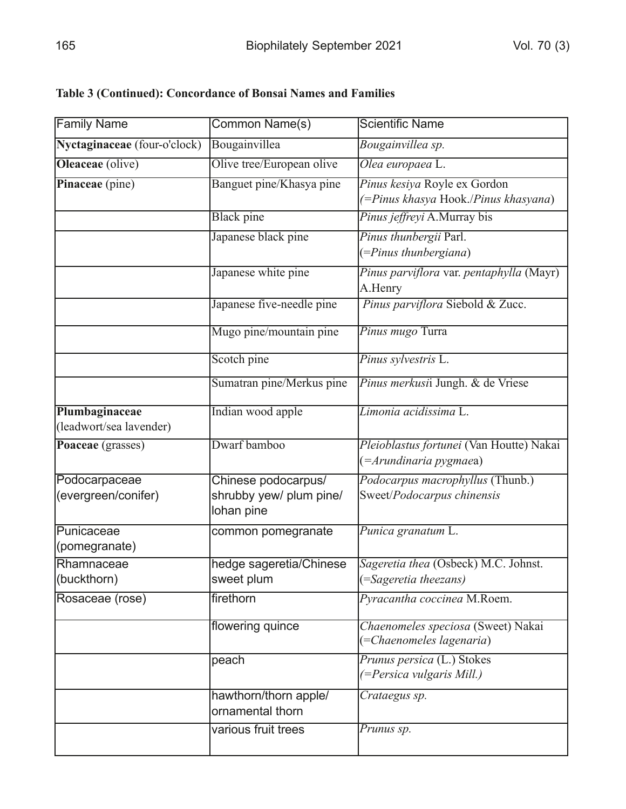| <b>Family Name</b>                        | Common Name(s)                                 | <b>Scientific Name</b>                                               |
|-------------------------------------------|------------------------------------------------|----------------------------------------------------------------------|
| Nyctaginaceae (four-o'clock)              | Bougainvillea                                  | Bougainvillea sp.                                                    |
| Oleaceae (olive)                          | Olive tree/European olive                      | Olea europaea L.                                                     |
| Pinaceae (pine)                           | Banguet pine/Khasya pine                       | Pinus kesiya Royle ex Gordon<br>(=Pinus khasya Hook./Pinus khasyana) |
|                                           | <b>Black</b> pine                              | Pinus jeffreyi A.Murray bis                                          |
|                                           | Japanese black pine                            | Pinus thunbergii Parl.<br>(=Pinus thunbergiana)                      |
|                                           | Japanese white pine                            | Pinus parviflora var. pentaphylla (Mayr)<br>A.Henry                  |
|                                           | Japanese five-needle pine                      | Pinus parviflora Siebold & Zucc.                                     |
|                                           | Mugo pine/mountain pine                        | Pinus mugo Turra                                                     |
|                                           | Scotch pine                                    | Pinus sylvestris L.                                                  |
|                                           | Sumatran pine/Merkus pine                      | Pinus merkusii Jungh. & de Vriese                                    |
| Plumbaginaceae<br>(leadwort/sea lavender) | Indian wood apple                              | Limonia acidissima L.                                                |
| Poaceae (grasses)                         | Dwarf bamboo                                   | Pleioblastus fortunei (Van Houtte) Nakai<br>(= Arundinaria pygmaea)  |
| Podocarpaceae<br>(evergreen/conifer)      | Chinese podocarpus/<br>shrubby yew/ plum pine/ | Podocarpus macrophyllus (Thunb.)<br>Sweet/Podocarpus chinensis       |
| Punicaceae                                | lohan pine<br>common pomegranate               | Punica granatum L.                                                   |
| (pomegranate)                             |                                                |                                                                      |
| Rhamnaceae<br>(buckthorn)                 | hedge sageretia/Chinese<br>sweet plum          | Sageretia thea (Osbeck) M.C. Johnst.<br>(=Sageretia theezans)        |
| Rosaceae (rose)                           | firethorn                                      | Pyracantha coccinea M.Roem.                                          |
|                                           | flowering quince                               | Chaenomeles speciosa (Sweet) Nakai<br>(=Chaenomeles lagenaria)       |
|                                           | peach                                          | Prunus persica (L.) Stokes<br>(=Persica vulgaris Mill.)              |
|                                           | hawthorn/thorn apple/<br>ornamental thorn      | Crataegus sp.                                                        |
|                                           | various fruit trees                            | Prunus sp.                                                           |

## Table 3 (Continued): Concordance of Bonsai Names and Families